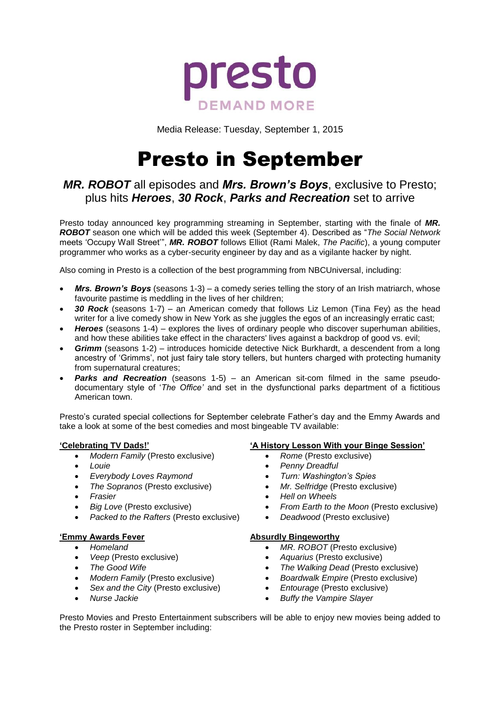

Media Release: Tuesday, September 1, 2015

# Presto in September

# *MR. ROBOT* all episodes and *Mrs. Brown's Boys*, exclusive to Presto; plus hits *Heroes*, *30 Rock*, *Parks and Recreation* set to arrive

Presto today announced key programming streaming in September, starting with the finale of *MR. ROBOT* season one which will be added this week (September 4). Described as "*The Social Network* meets 'Occupy Wall Street'", *MR. ROBOT* follows Elliot (Rami Malek, *The Pacific*), a young computer programmer who works as a cyber-security engineer by day and as a vigilante hacker by night.

Also coming in Presto is a collection of the best programming from NBCUniversal, including:

- *Mrs. Brown's Boys* (seasons 1-3) a comedy series telling the story of an Irish matriarch, whose favourite pastime is meddling in the lives of her children;
- *30 Rock* (seasons 1-7) an American comedy that follows Liz Lemon (Tina Fey) as the head writer for a live comedy show in New York as she juggles the egos of an increasingly erratic cast;
- *Heroes* (seasons 1-4) explores the lives of ordinary people who discover superhuman abilities, and how these abilities take effect in the characters' lives against a backdrop of good vs. evil;
- *Grimm* (seasons 1-2) introduces homicide detective Nick Burkhardt, a descendent from a long ancestry of 'Grimms', not just fairy tale story tellers, but hunters charged with protecting humanity from supernatural creatures;
- *Parks and Recreation* (seasons 1-5) an American sit-com filmed in the same pseudodocumentary style of '*The Office'* and set in the dysfunctional parks department of a fictitious American town.

Presto's curated special collections for September celebrate Father's day and the Emmy Awards and take a look at some of the best comedies and most bingeable TV available:

## **'Celebrating TV Dads!'**

- *Modern Family* (Presto exclusive)
- *Louie*
- *Everybody Loves Raymond*
- *The Sopranos* (Presto exclusive)
- *Frasier*

**'Emmy Awards Fever** *Homeland*

*Nurse Jackie*

*Big Love* (Presto exclusive)

 *Veep* (Presto exclusive) *The Good Wife*

*Packed to the Rafters* (Presto exclusive)

 *Modern Family* (Presto exclusive) *Sex and the City* (Presto exclusive)

## **Absurdly Bingeworthy**

- *MR. ROBOT* (Presto exclusive)
- *Aquarius* (Presto exclusive)
- *The Walking Dead* (Presto exclusive)
- *Boardwalk Empire* (Presto exclusive)
- *Entourage* (Presto exclusive)
- *Buffy the Vampire Slayer*

Presto Movies and Presto Entertainment subscribers will be able to enjoy new movies being added to the Presto roster in September including:

# **'A History Lesson With your Binge Session'**

- *Rome* (Presto exclusive)
- *Penny Dreadful*
- *Turn: Washington's Spies*
- *Mr. Selfridge* (Presto exclusive)
- *Hell on Wheels*
- *From Earth to the Moon* (Presto exclusive)
- *Deadwood* (Presto exclusive)